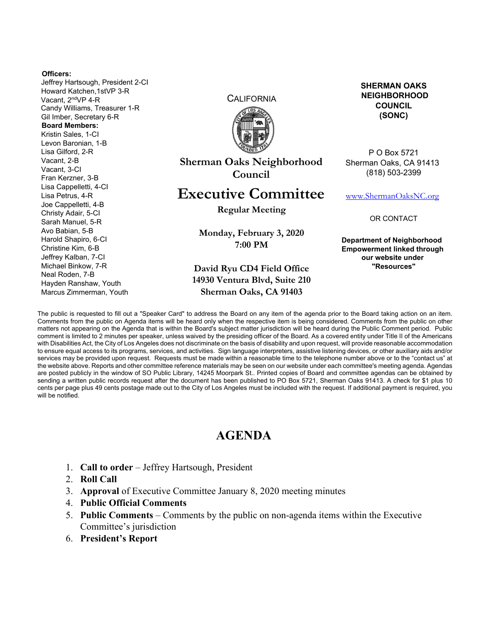#### **Officers:**

Jeffrey Hartsough, President 2-CI Howard Katchen,1stVP 3-R Vacant, 2ndVP 4-R Candy Williams, Treasurer 1-R Gil Imber, Secretary 6-R **Board Members:**  Kristin Sales, 1-CI Levon Baronian, 1-B Lisa Gilford, 2-R Vacant, 2-B Vacant, 3-CI Fran Kerzner, 3-B Lisa Cappelletti, 4-CI Lisa Petrus, 4-R Joe Cappelletti, 4-B Christy Adair, 5-CI Sarah Manuel, 5-R Avo Babian, 5-B Harold Shapiro, 6-CI Christine Kim, 6-B Jeffrey Kalban, 7-CI Michael Binkow, 7-R Neal Roden, 7-B Hayden Ranshaw, Youth Marcus Zimmerman, Youth

**CALIFORNIA** 



**Sherman Oaks Neighborhood Council** 

# **Executive Committee**

**Regular Meeting** 

**Monday, February 3, 2020 7:00 PM** 

### **David Ryu CD4 Field Office 14930 Ventura Blvd, Suite 210 Sherman Oaks, CA 91403**

**SHERMAN OAKS NEIGHBORHOOD COUNCIL (SONC)** 

P O Box 5721 Sherman Oaks, CA 91413 (818) 503-2399

www.ShermanOaksNC.org

OR CONTACT

**Department of Neighborhood Empowerment linked through our website under "Resources"** 

The public is requested to fill out a "Speaker Card" to address the Board on any item of the agenda prior to the Board taking action on an item. Comments from the public on Agenda items will be heard only when the respective item is being considered. Comments from the public on other matters not appearing on the Agenda that is within the Board's subject matter jurisdiction will be heard during the Public Comment period. Public comment is limited to 2 minutes per speaker, unless waived by the presiding officer of the Board. As a covered entity under Title II of the Americans with Disabilities Act, the City of Los Angeles does not discriminate on the basis of disability and upon request, will provide reasonable accommodation to ensure equal access to its programs, services, and activities. Sign language interpreters, assistive listening devices, or other auxiliary aids and/or services may be provided upon request. Requests must be made within a reasonable time to the telephone number above or to the "contact us" at the website above. Reports and other committee reference materials may be seen on our website under each committee's meeting agenda. Agendas are posted publicly in the window of SO Public Library, 14245 Moorpark St.. Printed copies of Board and committee agendas can be obtained by sending a written public records request after the document has been published to PO Box 5721, Sherman Oaks 91413. A check for \$1 plus 10 cents per page plus 49 cents postage made out to the City of Los Angeles must be included with the request. If additional payment is required, you will be notified.

# **AGENDA**

- 1. **Call to order** Jeffrey Hartsough, President
- 2. **Roll Call**
- 3. **Approval** of Executive Committee January 8, 2020 meeting minutes
- 4. **Public Official Comments**
- 5. **Public Comments** Comments by the public on non-agenda items within the Executive Committee's jurisdiction
- 6. **President's Report**